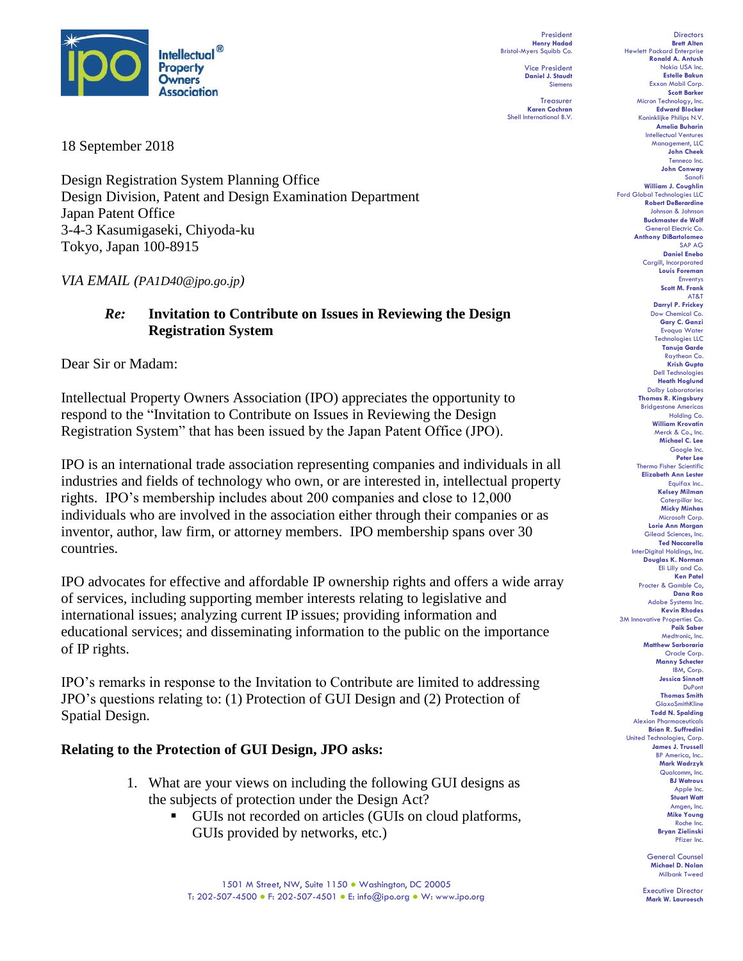

President **Henry Hadad** Bristol-Myers Squibb Co.

Vice President **Daniel J. Staudt** Siemens

Treasurer **Karen Cochran** Shell International B.V.

18 September 2018

Design Registration System Planning Office Design Division, Patent and Design Examination Department Japan Patent Office 3-4-3 Kasumigaseki, Chiyoda-ku Tokyo, Japan 100-8915

*VIA EMAIL (PA1D40@jpo.go.jp)*

## *Re:* **Invitation to Contribute on Issues in Reviewing the Design Registration System**

Dear Sir or Madam:

Intellectual Property Owners Association (IPO) appreciates the opportunity to respond to the "Invitation to Contribute on Issues in Reviewing the Design Registration System" that has been issued by the Japan Patent Office (JPO).

IPO is an international trade association representing companies and individuals in all industries and fields of technology who own, or are interested in, intellectual property rights. IPO's membership includes about 200 companies and close to 12,000 individuals who are involved in the association either through their companies or as inventor, author, law firm, or attorney members. IPO membership spans over 30 countries.

IPO advocates for effective and affordable IP ownership rights and offers a wide array of services, including supporting member interests relating to legislative and international issues; analyzing current IP issues; providing information and educational services; and disseminating information to the public on the importance of IP rights.

IPO's remarks in response to the Invitation to Contribute are limited to addressing JPO's questions relating to: (1) Protection of GUI Design and (2) Protection of Spatial Design.

## **Relating to the Protection of GUI Design, JPO asks:**

- 1. What are your views on including the following GUI designs as the subjects of protection under the Design Act?
	- GUIs not recorded on articles (GUIs on cloud platforms, GUIs provided by networks, etc.)

**Scott Barker** Micron Technology, Inc. **Edward Blocker** Koninklijke Philips N.V. **Amelia Buharin** Intellectual Ventures Management, LLC **John Cheek** Tenneco Inc. **John Conway** Sanofi **William J. Coughlin** Ford Global Technologies LLC **Robert DeBerardine** Johnson & John **Buckmaster de Wolf** General Electric Co. **Anthony DiBartolomeo** SAP AG **Daniel Enebo** Cargill, Incorporated **Louis Foreman** Enventys **Scott M. Frank** AT&T **Darryl P. Frickey** Dow Chemical C **Gary C. Ganzi** Evoqua Water Technologies LLC **Tanuja Garde** Raytheon Co. **Krish Gupta** Dell Technologies **Heath Hoglund** Dolby Laboratories **Thomas R. Kingsbury** Bridgestone Americas Holding Co. **William Krovatin** Merck & Co., Inc. **Michael C. Lee** Google Inc. **Peter Lee** Thermo Fisher Scientific **Elizabeth Ann Lester** Equifax Inc.. **Kelsey Milman** Caterpillar Inc. **Micky Minhas** Microsoft Corp. **Lorie Ann Morgan** Gilead Sciences, Inc. **Ted Naccarella** InterDigital Holdings, Inc. **Douglas K. Norman** Eli Lilly and Co. **Ken Patel** Procter & Gamble Co, **Dana Rao** Adobe Systems Inc. **Kevin Rhodes** 3M Innovative Properties Co. **Paik Saber** Medtronic, Inc. **Matthew Sarboraria** Oracle Corp. **Manny Schecter** IBM, Corp. **Jessica Sinnott** DuPont **Thomas Smith** GlaxoSmithKline **Todd N. Spalding** Alexion Pharmaceuticals **Brian R. Suffredini** United Technologies, Corp. **James J. Trussell** BP America, Inc.. **Mark Wadrzyk** Qualcomm, Inc. **BJ Watrous** Apple Inc. **Stuart Watt** Amgen, Inc. **Mike Young** Roche Inc.

**Directors Brett Alten**

Hewlett Packard Enterprise **Ronald A. Antush** Nokia USA Inc. **Estelle Bakun** Exxon Mobil Corp.

> General Counsel **Michael D. Nolan** Milbank Tweed

**Bryan Zielinski** Pfizer Inc.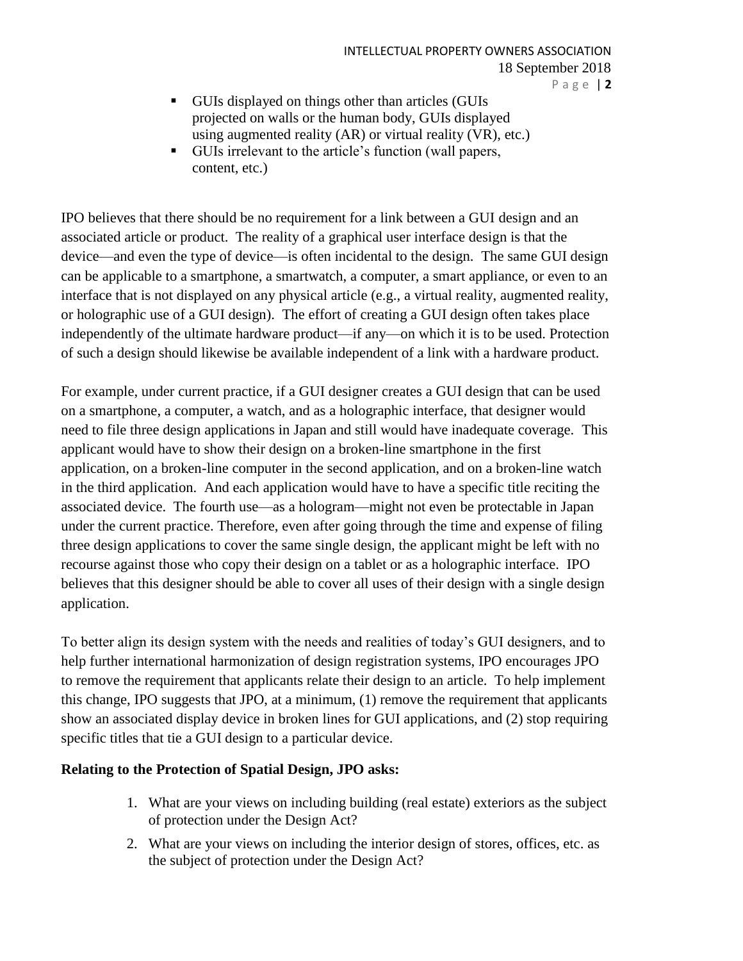- GUIs displayed on things other than articles (GUIs projected on walls or the human body, GUIs displayed using augmented reality (AR) or virtual reality (VR), etc.)
- GUIs irrelevant to the article's function (wall papers, content, etc.)

IPO believes that there should be no requirement for a link between a GUI design and an associated article or product. The reality of a graphical user interface design is that the device—and even the type of device—is often incidental to the design. The same GUI design can be applicable to a smartphone, a smartwatch, a computer, a smart appliance, or even to an interface that is not displayed on any physical article (e.g., a virtual reality, augmented reality, or holographic use of a GUI design). The effort of creating a GUI design often takes place independently of the ultimate hardware product—if any—on which it is to be used. Protection of such a design should likewise be available independent of a link with a hardware product.

For example, under current practice, if a GUI designer creates a GUI design that can be used on a smartphone, a computer, a watch, and as a holographic interface, that designer would need to file three design applications in Japan and still would have inadequate coverage. This applicant would have to show their design on a broken-line smartphone in the first application, on a broken-line computer in the second application, and on a broken-line watch in the third application. And each application would have to have a specific title reciting the associated device. The fourth use—as a hologram—might not even be protectable in Japan under the current practice. Therefore, even after going through the time and expense of filing three design applications to cover the same single design, the applicant might be left with no recourse against those who copy their design on a tablet or as a holographic interface. IPO believes that this designer should be able to cover all uses of their design with a single design application.

To better align its design system with the needs and realities of today's GUI designers, and to help further international harmonization of design registration systems, IPO encourages JPO to remove the requirement that applicants relate their design to an article. To help implement this change, IPO suggests that JPO, at a minimum, (1) remove the requirement that applicants show an associated display device in broken lines for GUI applications, and (2) stop requiring specific titles that tie a GUI design to a particular device.

## **Relating to the Protection of Spatial Design, JPO asks:**

- 1. What are your views on including building (real estate) exteriors as the subject of protection under the Design Act?
- 2. What are your views on including the interior design of stores, offices, etc. as the subject of protection under the Design Act?